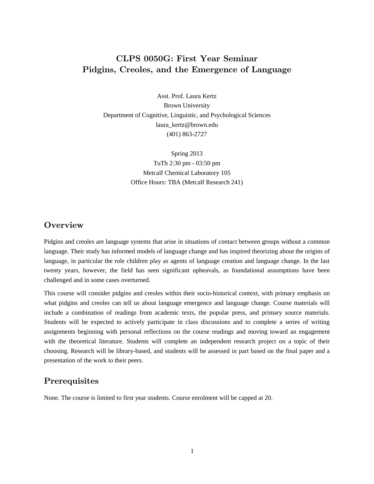## CLPS 0050G: First Year Seminar Pidgins, Creoles, and the Emergence of Language

Asst. Prof. Laura Kertz Brown University Department of Cognitive, Linguistic, and Psychological Sciences laura\_kertz@brown.edu (401) 863-2727

> Spring 2013 TuTh 2:30 pm - 03:50 pm Metcalf Chemical Laboratory 105 Office Hours: TBA (Metcalf Research 241)

#### **Overview**

Pidgins and creoles are language systems that arise in situations of contact between groups without a common language. Their study has informed models of language change and has inspired theorizing about the origins of language, in particular the role children play as agents of language creation and language change. In the last twenty years, however, the field has seen significant upheavals, as foundational assumptions have been challenged and in some cases overturned.

This course will consider pidgins and creoles within their socio-historical context, with primary emphasis on what pidgins and creoles can tell us about language emergence and language change. Course materials will include a combination of readings from academic texts, the popular press, and primary source materials. Students will be expected to actively participate in class discussions and to complete a series of writing assignments beginning with personal reflections on the course readings and moving toward an engagement with the theoretical literature. Students will complete an independent research project on a topic of their choosing. Research will be library-based, and students will be assessed in part based on the final paper and a presentation of the work to their peers.

### **Prerequisites**

None. The course is limited to first year students. Course enrolment will be capped at 20.